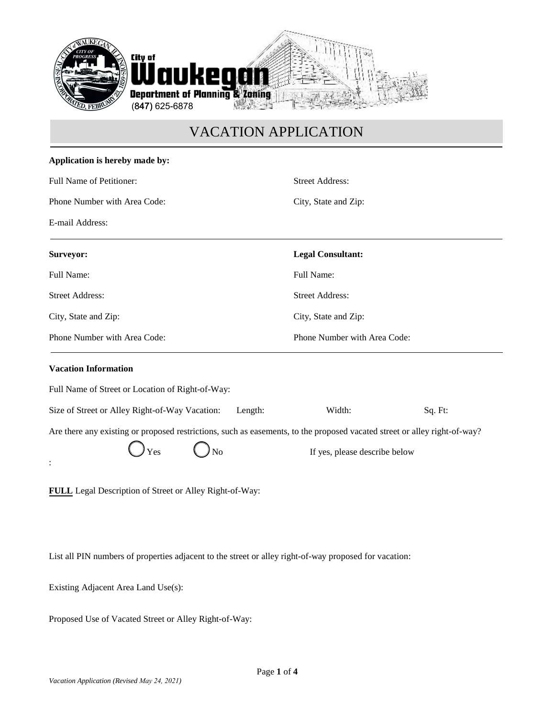

# VACATION APPLICATION

| Application is hereby made by:                                                                                            |                               |         |  |
|---------------------------------------------------------------------------------------------------------------------------|-------------------------------|---------|--|
| Full Name of Petitioner:                                                                                                  | <b>Street Address:</b>        |         |  |
| Phone Number with Area Code:                                                                                              | City, State and Zip:          |         |  |
| E-mail Address:                                                                                                           |                               |         |  |
| Surveyor:                                                                                                                 | <b>Legal Consultant:</b>      |         |  |
| Full Name:                                                                                                                | Full Name:                    |         |  |
| <b>Street Address:</b>                                                                                                    | <b>Street Address:</b>        |         |  |
| City, State and Zip:                                                                                                      | City, State and Zip:          |         |  |
| Phone Number with Area Code:                                                                                              | Phone Number with Area Code:  |         |  |
| <b>Vacation Information</b>                                                                                               |                               |         |  |
| Full Name of Street or Location of Right-of-Way:                                                                          |                               |         |  |
| Size of Street or Alley Right-of-Way Vacation:<br>Length:                                                                 | Width:                        | Sq. Ft: |  |
| Are there any existing or proposed restrictions, such as easements, to the proposed vacated street or alley right-of-way? |                               |         |  |
| Yes<br>No                                                                                                                 | If yes, please describe below |         |  |
| FULL Legal Description of Street or Alley Right-of-Way:                                                                   |                               |         |  |

List all PIN numbers of properties adjacent to the street or alley right-of-way proposed for vacation:

Existing Adjacent Area Land Use(s):

Proposed Use of Vacated Street or Alley Right-of-Way: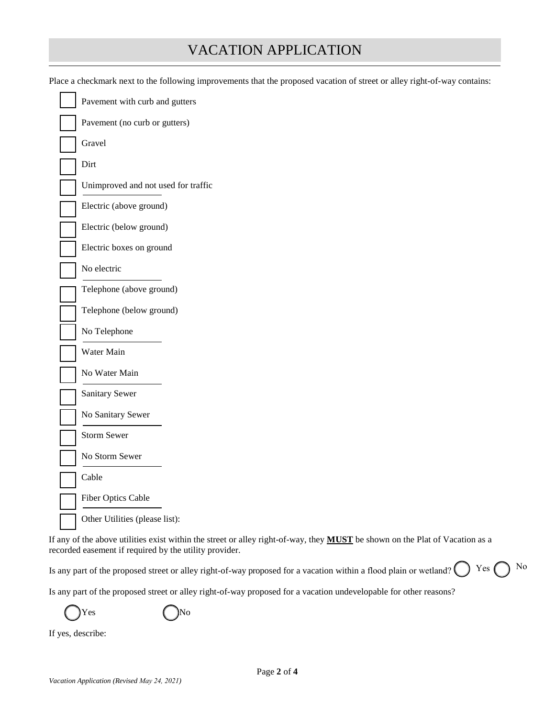| <b>VACATION APPLICATION</b> |  |
|-----------------------------|--|
|-----------------------------|--|

| Place a checkmark next to the following improvements that the proposed vacation of street or alley right-of-way contains: |  |  |  |
|---------------------------------------------------------------------------------------------------------------------------|--|--|--|
|---------------------------------------------------------------------------------------------------------------------------|--|--|--|

| Pavement with curb and gutters      |
|-------------------------------------|
| Pavement (no curb or gutters)       |
| Gravel                              |
| Dirt                                |
| Unimproved and not used for traffic |
| Electric (above ground)             |
| Electric (below ground)             |
| Electric boxes on ground            |
| No electric                         |
| Telephone (above ground)            |
| Telephone (below ground)            |
| No Telephone                        |
| Water Main                          |
| No Water Main                       |
| <b>Sanitary Sewer</b>               |
| No Sanitary Sewer                   |
| <b>Storm Sewer</b>                  |
| No Storm Sewer                      |
| Cable                               |
| <b>Fiber Optics Cable</b>           |
| Other Utilities (please list):      |

If any of the above utilities exist within the street or alley right-of-way, they **MUST** be shown on the Plat of Vacation as a recorded easement if required by the utility provider.

Is any part of the proposed street or alley right-of-way proposed for a vacation within a flood plain or wetland?  $Yes \bigcap No$ 

Is any part of the proposed street or alley right-of-way proposed for a vacation undevelopable for other reasons?

 $Yes$  ( )No

If yes, describe: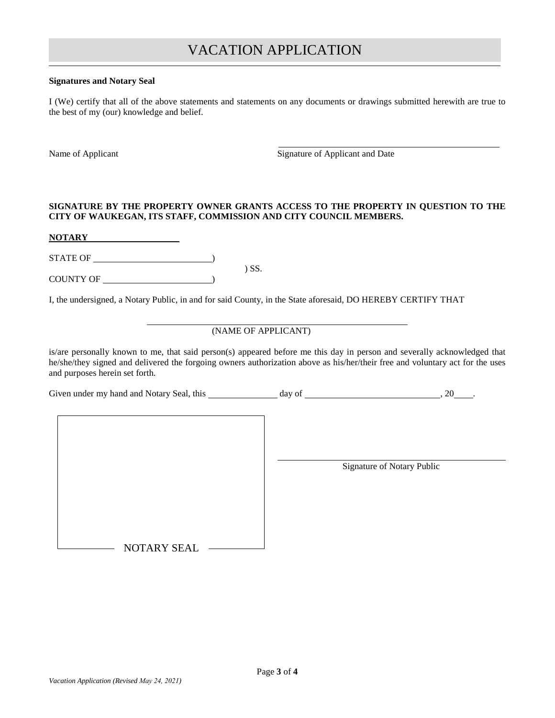# VACATION APPLICATION

#### **Signatures and Notary Seal**

I (We) certify that all of the above statements and statements on any documents or drawings submitted herewith are true to the best of my (our) knowledge and belief.

Name of Applicant Signature of Applicant and Date

#### **SIGNATURE BY THE PROPERTY OWNER GRANTS ACCESS TO THE PROPERTY IN QUESTION TO THE CITY OF WAUKEGAN, ITS STAFF, COMMISSION AND CITY COUNCIL MEMBERS.**

**NOTARY**

STATE OF  $\qquad \qquad$ ) SS.

COUNTY OF )

I, the undersigned, a Notary Public, in and for said County, in the State aforesaid, DO HEREBY CERTIFY THAT

## (NAME OF APPLICANT)

is/are personally known to me, that said person(s) appeared before me this day in person and severally acknowledged that he/she/they signed and delivered the forgoing owners authorization above as his/her/their free and voluntary act for the uses and purposes herein set forth.

Given under my hand and Notary Seal, this  $\frac{1}{2}$  day of  $\frac{1}{2}$  . 20 ...

Signature of Notary Public

NOTARY SEAL